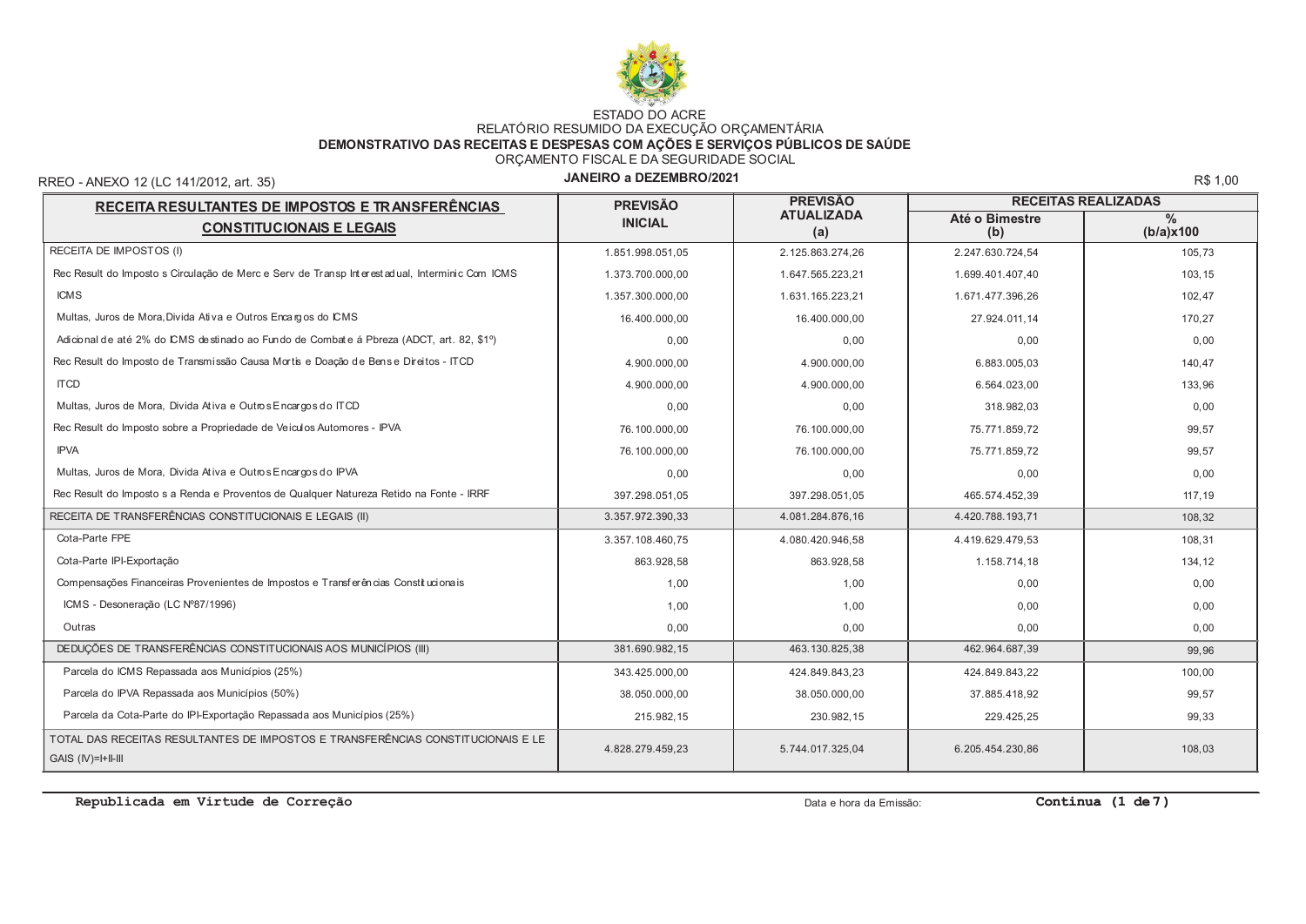

# ESTADO DO ACRE<br>RELATÓRIO RESUMIDO DA EXECUÇÃO ORÇAMENTÁRIA<br>DEMONSTRATIVO DAS RECEITAS E DESPESAS COM AÇÕES E SERVIÇOS PÚBLICOS DE SAÚDE ORÇAMENTO FISCAL E DA SEGURIDADE SOCIAL

RREO - ANEXO 12 (LC 141/2012, art. 35)

### JANEIRO a DEZEMBRO/2021

R\$ 1,00

| RECEITA RESULTANTES DE IMPOSTOS E TRANSFERÊNCIAS                                                         | <b>PREVISÃO</b><br><b>PREVISÃO</b> |                          | <b>RECEITAS REALIZADAS</b> |                   |  |
|----------------------------------------------------------------------------------------------------------|------------------------------------|--------------------------|----------------------------|-------------------|--|
| <b>CONSTITUCIONAIS E LEGAIS</b>                                                                          | <b>INICIAL</b>                     | <b>ATUALIZADA</b><br>(a) | Até o Bimestre<br>(b)      | $\%$<br>(b/a)x100 |  |
| RECEITA DE IMPOSTOS (I)                                                                                  | 1.851.998.051,05                   | 2.125.863.274,26         | 2.247.630.724,54           | 105,73            |  |
| Rec Result do Imposto s Circulação de Merc e Serv de Transp Interestadual, Interminic Com ICMS           | 1.373.700.000.00                   | 1.647.565.223,21         | 1.699.401.407,40           | 103,15            |  |
| <b>ICMS</b>                                                                                              | 1.357.300.000.00                   | 1.631.165.223.21         | 1.671.477.396.26           | 102,47            |  |
| Multas, Juros de Mora, Divida Ativa e Outros Encargos do ICMS                                            | 16.400.000,00                      | 16.400.000,00            | 27.924.011,14              | 170,27            |  |
| Adicional de até 2% do CMS de stinado ao Fundo de Combate á Pbreza (ADCT, art. 82, \$1°)                 | 0.00                               | 0.00                     | 0.00                       | 0,00              |  |
| Rec Result do Imposto de Transmissão Causa Mortis e Doação de Bense Direitos - ITCD                      | 4.900.000.00                       | 4.900.000.00             | 6.883.005.03               | 140.47            |  |
| <b>ITCD</b>                                                                                              | 4.900.000.00                       | 4.900.000.00             | 6.564.023.00               | 133,96            |  |
| Multas, Juros de Mora, Divida Ativa e Outros Encargos do ITCD                                            | 0.00                               | 0.00                     | 318.982,03                 | 0,00              |  |
| Rec Result do Imposto sobre a Propriedade de Veiculos Automores - IPVA                                   | 76.100.000.00                      | 76.100.000.00            | 75.771.859.72              | 99,57             |  |
| <b>IPVA</b>                                                                                              | 76.100.000,00                      | 76.100.000,00            | 75.771.859,72              | 99,57             |  |
| Multas, Juros de Mora, Divida Ativa e Outros Encargos do IPVA                                            | 0.00                               | 0.00                     | 0,00                       | 0,00              |  |
| Rec Result do Imposto s a Renda e Proventos de Qualquer Natureza Retido na Fonte - IRRF                  | 397.298.051.05                     | 397.298.051.05           | 465.574.452.39             | 117,19            |  |
| RECEITA DE TRANSFERÊNCIAS CONSTITUCIONAIS E LEGAIS (II)                                                  | 3.357.972.390,33                   | 4.081.284.876.16         | 4.420.788.193,71           | 108,32            |  |
| Cota-Parte FPE                                                                                           | 3.357.108.460.75                   | 4.080.420.946.58         | 4.419.629.479.53           | 108,31            |  |
| Cota-Parte IPI-Exportação                                                                                | 863.928,58                         | 863.928,58               | 1.158.714,18               | 134,12            |  |
| Compensações Financeiras Provenientes de Impostos e Transferências Constitucionais                       | 1.00                               | 1,00                     | 0,00                       | 0,00              |  |
| ICMS - Desoneração (LC Nº87/1996)                                                                        | 1.00                               | 1,00                     | 0.00                       | 0,00              |  |
| Outras                                                                                                   | 0.00                               | 0,00                     | 0,00                       | 0,00              |  |
| DEDUÇÕES DE TRANSFERÊNCIAS CONSTITUCIONAIS AOS MUNICÍPIOS (III)                                          | 381.690.982,15                     | 463.130.825,38           | 462.964.687,39             | 99,96             |  |
| Parcela do ICMS Repassada aos Municípios (25%)                                                           | 343.425.000.00                     | 424.849.843.23           | 424.849.843,22             | 100,00            |  |
| Parcela do IPVA Repassada aos Municípios (50%)                                                           | 38.050.000,00                      | 38.050.000,00            | 37.885.418,92              | 99,57             |  |
| Parcela da Cota-Parte do IPI-Exportação Repassada aos Municípios (25%)                                   | 215.982,15                         | 230.982,15               | 229.425,25                 | 99,33             |  |
| TOTAL DAS RECEITAS RESULTANTES DE IMPOSTOS E TRANSFERÊNCIAS CONSTITUCIONAIS E LE<br>$GAIS$ $(IV)=HII-II$ | 4.828.279.459,23                   | 5.744.017.325,04         | 6.205.454.230,86           | 108,03            |  |

Republicada em Virtude de Correção

Data e hora da Emissão:

Continua  $(1 de 7)$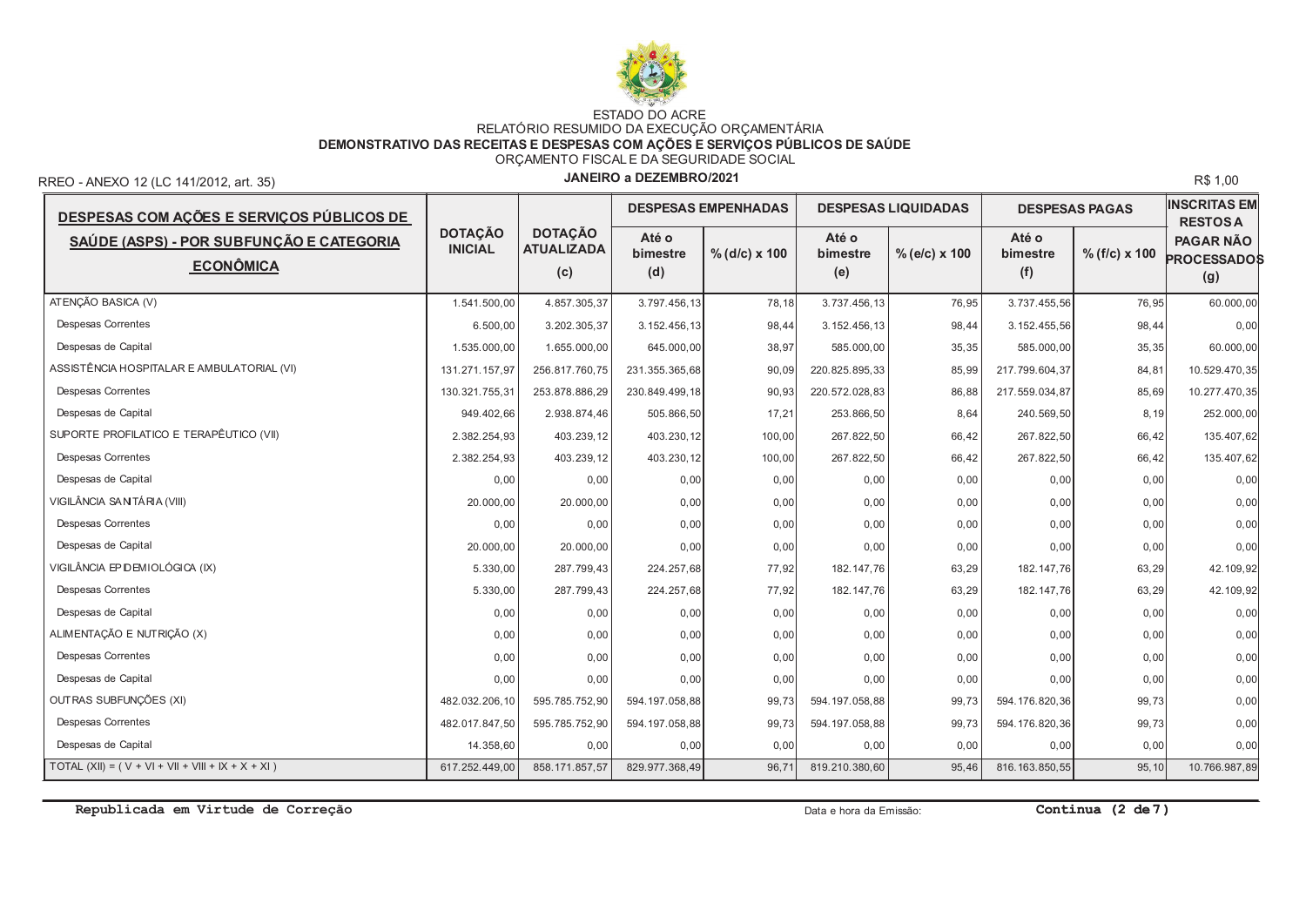

# ESTADO DO ACRE<br>RELATÓRIO RESUMIDO DA EXECUÇÃO ORÇAMENTÁRIA<br>DEMONSTRATIVO DAS RECEITAS E DESPESAS COM AÇÕES E SERVIÇOS PÚBLICOS DE SAÚDE ORÇAMENTO FISCALE DA SEGURIDADE SOCIAL

RREO - ANEXO 12 (LC 141/2012, art. 35)

### JANEIRO a DEZEMBRO/2021

R\$ 1,00

| DESPESAS COM AÇÕES E SERVIÇOS PÚBLICOS DE                    |                                  |                                            |                          | <b>DESPESAS EMPENHADAS</b> |                          | <b>DESPESAS LIQUIDADAS</b> | <b>DESPESAS PAGAS</b>    |                      | <b>INSCRITAS EM</b><br><b>RESTOSA</b>         |
|--------------------------------------------------------------|----------------------------------|--------------------------------------------|--------------------------|----------------------------|--------------------------|----------------------------|--------------------------|----------------------|-----------------------------------------------|
| SAÚDE (ASPS) - POR SUBFUNÇÃO E CATEGORIA<br><b>ECONÔMICA</b> | <b>DOTACÃO</b><br><b>INICIAL</b> | <b>DOTACÃO</b><br><b>ATUALIZADA</b><br>(c) | Até o<br>bimestre<br>(d) | $%$ (d/c) x 100            | Até o<br>bimestre<br>(e) | $%$ (e/c) x 100            | Até o<br>bimestre<br>(f) | $% (f/c) \times 100$ | <b>PAGAR NÃO</b><br><b>PROCESSADOS</b><br>(g) |
| ATENÇÃO BASICA (V)                                           | 1.541.500.00                     | 4.857.305,37                               | 3.797.456,13             | 78,18                      | 3.737.456,13             | 76,95                      | 3.737.455,56             | 76,95                | 60.000,00                                     |
| <b>Despesas Correntes</b>                                    | 6.500,00                         | 3.202.305,37                               | 3.152.456,13             | 98,44                      | 3.152.456.13             | 98,44                      | 3.152.455,56             | 98,44                | 0,00                                          |
| Despesas de Capital                                          | 1.535.000.00                     | 1.655.000,00                               | 645.000,00               | 38,97                      | 585.000.00               | 35,35                      | 585.000,00               | 35,35                | 60.000,00                                     |
| ASSISTÊNCIA HOSPITALAR E AMBULATORIAL (VI)                   | 131.271.157.97                   | 256.817.760.75                             | 231.355.365,68           | 90,09                      | 220.825.895.33           | 85,99                      | 217.799.604.37           | 84,81                | 10.529.470,35                                 |
| <b>Despesas Correntes</b>                                    | 130.321.755.31                   | 253.878.886,29                             | 230.849.499,18           | 90,93                      | 220.572.028.83           | 86,88                      | 217.559.034,87           | 85,69                | 10.277.470,35                                 |
| Despesas de Capital                                          | 949.402.66                       | 2.938.874,46                               | 505.866,50               | 17,21                      | 253.866,50               | 8,64                       | 240.569,50               | 8,19                 | 252.000,00                                    |
| SUPORTE PROFILATICO E TERAPÊUTICO (VII)                      | 2.382.254,93                     | 403.239,12                                 | 403.230,12               | 100,00                     | 267.822.50               | 66,42                      | 267.822,50               | 66,42                | 135.407,62                                    |
| Despesas Correntes                                           | 2.382.254,93                     | 403.239,12                                 | 403.230,12               | 100,00                     | 267.822,50               | 66,42                      | 267.822,50               | 66,42                | 135.407,62                                    |
| Despesas de Capital                                          | 0,00                             | 0,00                                       | 0,00                     | 0,00                       | 0,00                     | 0,00                       | 0,00                     | 0,00                 | 0,00                                          |
| VIGILÂNCIA SANTÁRIA (VIII)                                   | 20.000,00                        | 20.000,00                                  | 0,00                     | 0,00                       | 0,00                     | 0,00                       | 0,00                     | 0,00                 | 0,00                                          |
| <b>Despesas Correntes</b>                                    | 0,00                             | 0,00                                       | 0,00                     | 0,00                       | 0,00                     | 0,00                       | 0,00                     | 0,00                 | 0,00                                          |
| Despesas de Capital                                          | 20.000,00                        | 20.000,00                                  | 0,00                     | 0,00                       | 0,00                     | 0,00                       | 0,00                     | 0,00                 | 0,00                                          |
| VIGILÂNCIA EP DEMIOLÓGICA (IX)                               | 5.330,00                         | 287.799,43                                 | 224.257,68               | 77,92                      | 182.147,76               | 63,29                      | 182.147,76               | 63,29                | 42.109,92                                     |
| <b>Despesas Correntes</b>                                    | 5.330,00                         | 287.799,43                                 | 224.257,68               | 77,92                      | 182.147.76               | 63,29                      | 182.147,76               | 63,29                | 42.109,92                                     |
| Despesas de Capital                                          | 0,00                             | 0,00                                       | 0,00                     | 0,00                       | 0,00                     | 0,00                       | 0,00                     | 0,00                 | 0,00                                          |
| ALIMENTAÇÃO E NUTRIÇÃO (X)                                   | 0,00                             | 0,00                                       | 0,00                     | 0,00                       | 0,00                     | 0,00                       | 0,00                     | 0,00                 | 0,00                                          |
| <b>Despesas Correntes</b>                                    | 0,00                             | 0,00                                       | 0,00                     | 0,00                       | 0,00                     | 0,00                       | 0,00                     | 0,00                 | 0,00                                          |
| Despesas de Capital                                          | 0,00                             | 0,00                                       | 0,00                     | 0,00                       | 0,00                     | 0,00                       | 0,00                     | 0,00                 | 0,00                                          |
| OUTRAS SUBFUNÇÕES (XI)                                       | 482.032.206.10                   | 595.785.752,90                             | 594.197.058,88           | 99,73                      | 594.197.058,88           | 99,73                      | 594.176.820,36           | 99,73                | 0,00                                          |
| <b>Despesas Correntes</b>                                    | 482.017.847,50                   | 595.785.752,90                             | 594.197.058,88           | 99,73                      | 594.197.058,88           | 99,73                      | 594.176.820,36           | 99,73                | 0,00                                          |
| Despesas de Capital                                          | 14.358.60                        | 0,00                                       | 0,00                     | 0,00                       | 0,00                     | 0,00                       | 0,00                     | 0,00                 | 0,00                                          |
| TOTAL $(XII) = (V + VI + VII + VIII + IX + X + XI)$          | 617.252.449.00                   | 858.171.857.57                             | 829.977.368.49           | 96.71                      | 819.210.380.60           | 95,46                      | 816.163.850,55           | 95,10                | 10.766.987,89                                 |

Republicada em Virtude de Correção

Data e hora da Emissão:

Continua  $(2 de 7)$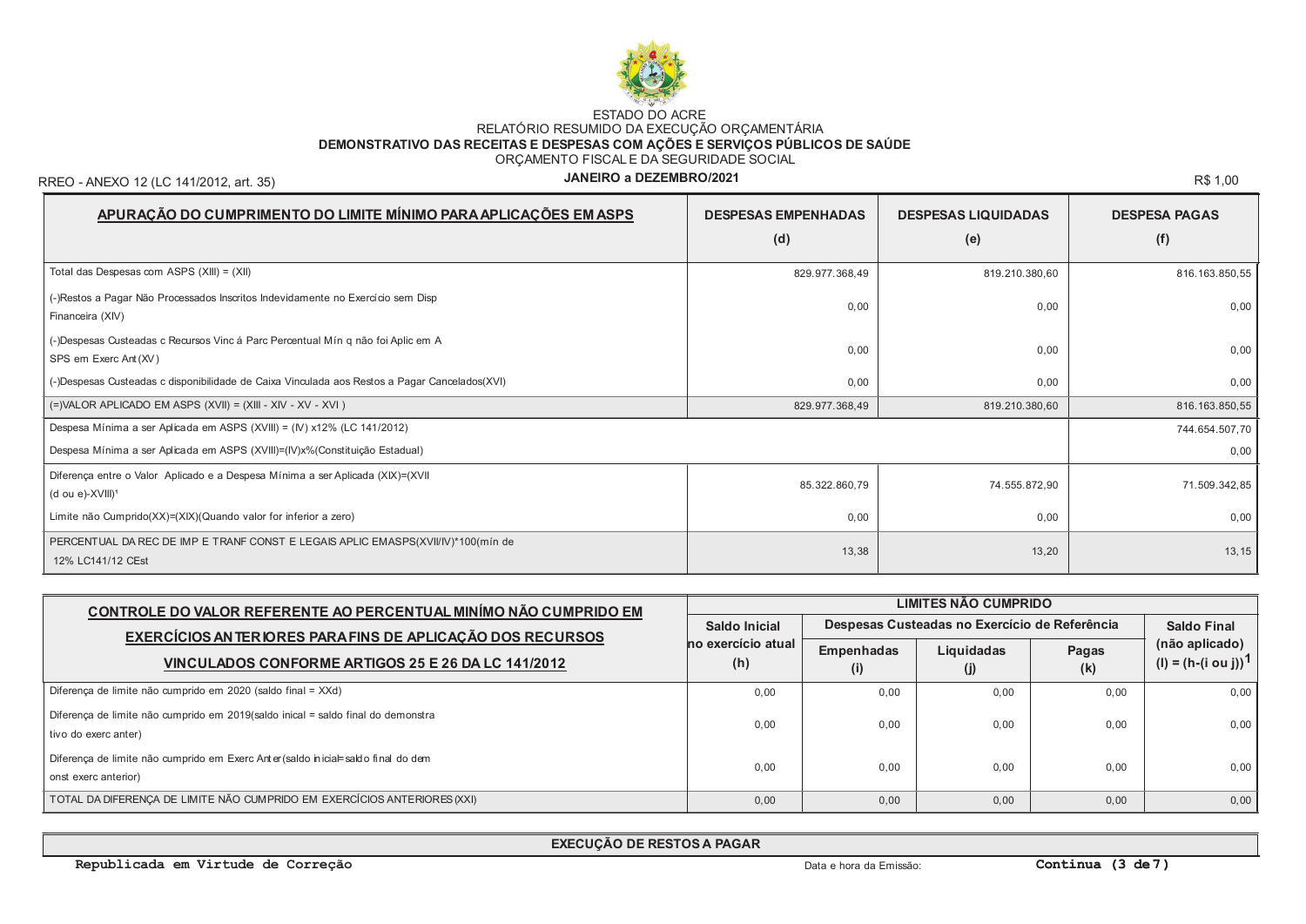

## ESTADO DO ACRE<br>RELATÓRIO RESUMIDO DA EXECUÇÃO ORÇAMENTÁRIA<br>DEMONSTRATIVO DAS RECEITAS E DESPESAS COM AÇÕES E SERVIÇOS PÚBLICOS DE SAÚDE ORÇAMENTO FISCALE DA SEGURIDADE SOCIAL

RREO - ANEXO 12 (LC 141/2012, art. 35)

## JANEIRO a DEZEMBRO/2021

R\$ 1,00

| APURAÇÃO DO CUMPRIMENTO DO LIMITE MÍNIMO PARA APLICAÇÕES EM ASPS                                               | <b>DESPESAS EMPENHADAS</b> | <b>DESPESAS LIQUIDADAS</b> | <b>DESPESA PAGAS</b> |
|----------------------------------------------------------------------------------------------------------------|----------------------------|----------------------------|----------------------|
|                                                                                                                | (d)                        | (e)                        | (f)                  |
| Total das Despesas com ASPS (XIII) = (XII)                                                                     | 829.977.368,49             | 819.210.380,60             | 816.163.850,55       |
| (-)Restos a Pagar Não Processados Inscritos Indevidamente no Exercício sem Disp<br>Financeira (XIV)            | 0,00                       | 0,00                       | 0,00                 |
| (-)Despesas Custeadas c Recursos Vinc á Parc Percentual Mín q não foi Aplic em A<br>SPS em Exerc Ant (XV)      | 0,00                       | 0,00                       | 0,00                 |
| (-)Despesas Custeadas c disponibilidade de Caixa Vinculada aos Restos a Pagar Cancelados(XVI)                  | 0,00                       | 0,00                       | 0,00                 |
| $(=)$ VALOR APLICADO EM ASPS $(XVII) = (XIII - XIV - XV - XVI)$                                                | 829.977.368,49             | 819.210.380,60             | 816.163.850,55       |
| Despesa Mínima a ser Aplicada em ASPS (XVIII) = (IV) x12% (LC 141/2012)                                        |                            |                            | 744.654.507,70       |
| Despesa Mínima a ser Aplicada em ASPS (XVIII)=(IV)x%(Constituição Estadual)                                    |                            |                            | 0,00                 |
| Diferença entre o Valor Aplicado e a Despesa Mínima a ser Aplicada (XIX)=(XVII<br>(d ou e)-XVIII) <sup>1</sup> | 85.322.860,79              | 74.555.872,90              | 71.509.342,85        |
| Limite não Cumprido(XX)=(XIX)(Quando valor for inferior a zero)                                                | 0,00                       | 0,00                       | 0,00                 |
| PERCENTUAL DA REC DE IMP E TRANF CONST E LEGAIS APLIC EMASPS(XVII/IV)*100(mín de<br>12% LC141/12 CEst          | 13,38                      | 13,20                      | 13, 15               |

| CONTROLE DO VALOR REFERENTE AO PERCENTUAL MINÍMO NÃO CUMPRIDO EM                                          |                           | LIMITES NÃO CUMPRIDO     |                                               |              |                                                   |  |  |  |  |
|-----------------------------------------------------------------------------------------------------------|---------------------------|--------------------------|-----------------------------------------------|--------------|---------------------------------------------------|--|--|--|--|
| EXERCÍCIOS AN TERIORES PARA FINS DE APLICAÇÃO DOS RECURSOS                                                | Saldo Inicial             |                          | Despesas Custeadas no Exercício de Referência |              |                                                   |  |  |  |  |
| VINCULADOS CONFORME ARTIGOS 25 E 26 DA LC 141/2012                                                        | no exercício atual<br>(h) | <b>Empenhadas</b><br>(i) | Liquidadas                                    | Pagas<br>(k) | (não aplicado)<br>(l) = $(h-(i \text{ ou } j))^T$ |  |  |  |  |
| Diferença de limite não cumprido em 2020 (saldo final = XXd)                                              | 0.00                      | 0.00                     | 0.00                                          | 0.00         | 0,00                                              |  |  |  |  |
| Diferença de limite não cumprido em 2019(saldo inical = saldo final do demonstra<br>tivo do exerc anter)  | 0.00                      | 0.00                     | 0.00                                          | 0.00         | 0,00                                              |  |  |  |  |
| Diferença de limite não cumprido em Exerc Anter (saldo inicial=saldo final do dem<br>onst exerc anterior) | 0.00                      | 0.00                     | 0.00                                          | 0.00         | 0,00                                              |  |  |  |  |
| TOTAL DA DIFERENCA DE LIMITE NÃO CUMPRIDO EM EXERCÍCIOS ANTERIORES (XXI)                                  | 0.00                      | 0.00                     | 0.00                                          | 0.00         | 0,00                                              |  |  |  |  |

EXECUÇÃO DE RESTOS A PAGAR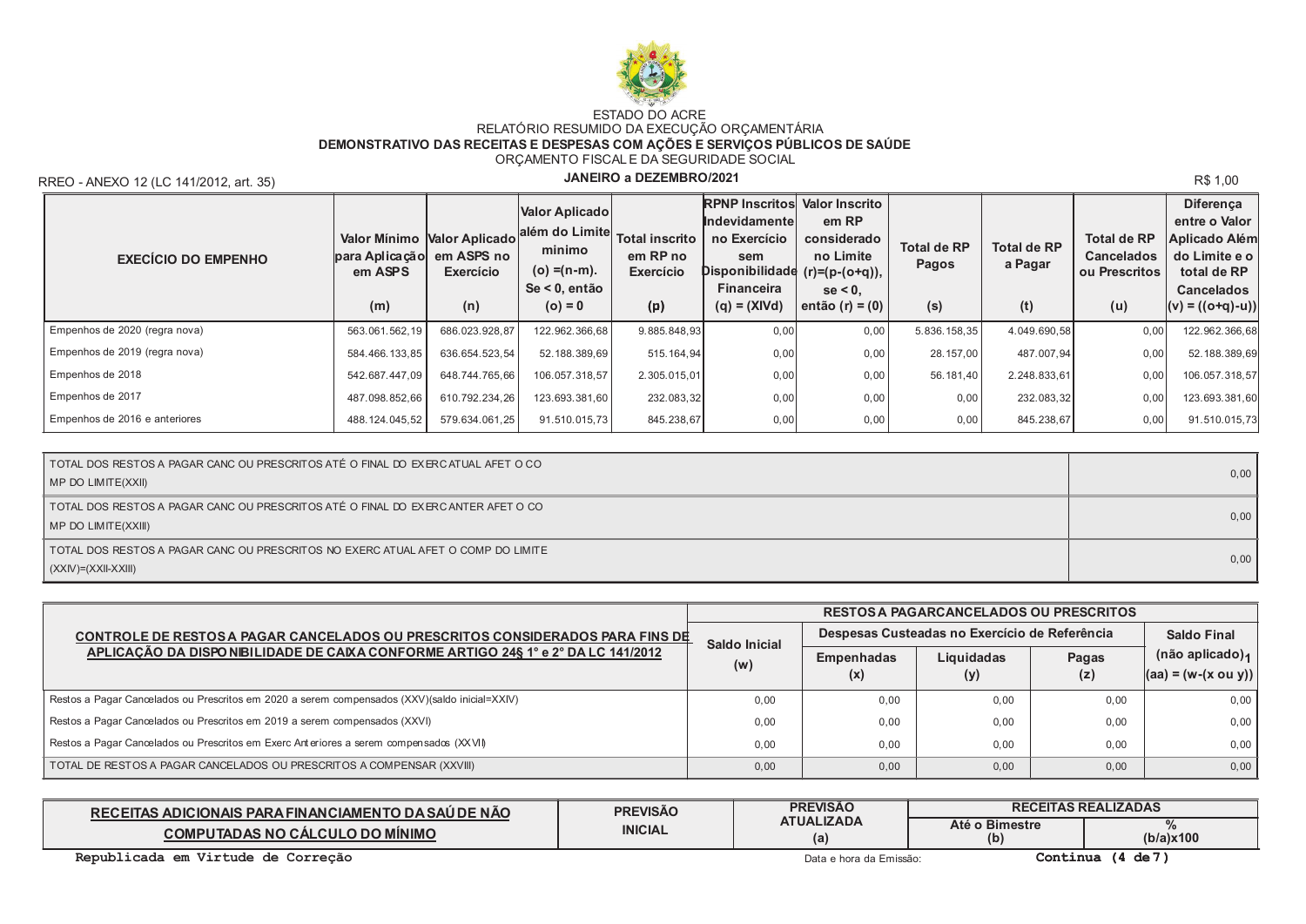

## ESTADO DO ACRE<br>RELATÓRIO RESUMIDO DA EXECUÇÃO ORÇAMENTÁRIA DEMONSTRATIVO DAS RECEITAS E DESPESAS COM AÇÕES E SERVIÇOS PÚBLICOS DE SAÚDE ORÇAMENTO FISCALE DA SEGURIDADE SOCIAL

RREO - ANEXO 12 (LC 141/2012, art. 35)

## JANEIRO a DEZEMBRO/2021

R\$ 1,00

| <b>EXECÍCIO DO EMPENHO</b>    | para Aplicação<br>em ASPS<br>(m) | Valor Mínimo Valor Aplicado<br>em ASPS no<br>Exercício<br>(n) | Valor Aplicado<br>lalém do Limitel<br>minimo<br>(o) =(n-m).<br>Se < 0, então<br>$(o) = 0$ | <b>Total inscrito</b><br>em RP no<br>Exercício<br>(p) | <b>RPNP Inscritos Valor Inscrito</b><br><b>Indevidamentel</b><br>no Exercício<br>sem<br>Disponibilidade (r)=(p-(o+q)),<br><b>Financeira</b><br>$(q) = (XIVd)$ | em RP<br>considerado<br>no Limite<br>$se < 0$ .<br>então (r) = $(0)$ | <b>Total de RP</b><br>Pagos<br>(s) | <b>Total de RP</b><br>a Pagar<br>(t) | <b>Total de RP</b><br><b>Cancelados</b><br>ou Prescritos<br>(u) | <b>Diferenca</b><br>entre o Valor<br>Aplicado Além<br>do Limite e o<br>total de RP<br><b>Cancelados</b><br>$(v) = ((o+q)-u))$ |
|-------------------------------|----------------------------------|---------------------------------------------------------------|-------------------------------------------------------------------------------------------|-------------------------------------------------------|---------------------------------------------------------------------------------------------------------------------------------------------------------------|----------------------------------------------------------------------|------------------------------------|--------------------------------------|-----------------------------------------------------------------|-------------------------------------------------------------------------------------------------------------------------------|
| Empenhos de 2020 (regra nova) | 563.061.562,19                   | 686.023.928,87                                                | 122.962.366,68                                                                            | 9.885.848,93                                          | 0,00                                                                                                                                                          | 0,00                                                                 | 5.836.158,35                       | 4.049.690,58                         | 0,00                                                            | 122.962.366,68                                                                                                                |
| Empenhos de 2019 (regra nova) | 584.466.133,85                   | 636.654.523,54                                                | 52.188.389,69                                                                             | 515.164,94                                            | 0,00                                                                                                                                                          | 0,00                                                                 | 28.157,00                          | 487.007,94                           | 0,00                                                            | 52.188.389,69                                                                                                                 |
| Empenhos de 2018              | 542.687.447.09                   | 648.744.765,66                                                | 106.057.318.57                                                                            | 2.305.015,01                                          | 0,00                                                                                                                                                          | 0,00                                                                 | 56.181,40                          | 2.248.833,61                         | 0,00                                                            | 106.057.318,57                                                                                                                |
| Empenhos de 2017              | 487.098.852,66                   | 610.792.234.26                                                | 123.693.381.60                                                                            | 232.083,32                                            | 0,00                                                                                                                                                          | 0,00                                                                 | 0,00                               | 232.083,32                           | 0,00                                                            | 123.693.381,60                                                                                                                |
| Empenhos de 2016 e anteriores | 488.124.045,52                   | 579.634.061.25                                                | 91.510.015.73                                                                             | 845.238,67                                            | 0,00                                                                                                                                                          | 0,00                                                                 | 0,00                               | 845.238,67                           | 0,00                                                            | 91.510.015,73                                                                                                                 |

| TOTAL DOS RESTOS A PAGAR CANC OU PRESCRITOS ATÉ O FINAL DO EXERCATUAL AFET O CO<br>MP DO LIMITE(XXII)     | 0,00 |
|-----------------------------------------------------------------------------------------------------------|------|
| TOTAL DOS RESTOS A PAGAR CANC OU PRESCRITOS ATÉ O FINAL DO EXERCANTER AFET O CO<br>MP DO LIMITE(XXIII)    | 0,00 |
| TOTAL DOS RESTOS A PAGAR CANC OU PRESCRITOS NO EXERC ATUAL AFET O COMP DO LIMITE<br>$(XXIV)=(XXII-XXIII)$ | 0,00 |

|                                                                                               |               |                          | <b>RESTOS A PAGARCANCELADOS OU PRESCRITOS</b> |                    |                                                       |
|-----------------------------------------------------------------------------------------------|---------------|--------------------------|-----------------------------------------------|--------------------|-------------------------------------------------------|
| CONTROLE DE RESTOS A PAGAR CANCELADOS OU PRESCRITOS CONSIDERADOS PARA FINS DE                 | Saldo Inicial |                          | Despesas Custeadas no Exercício de Referência | <b>Saldo Final</b> |                                                       |
| APLICAÇÃO DA DISPO NIBILIDADE DE CAIXA CONFORME ARTIGO 24§ 1° e 2° DA LC 141/2012             | (w)           | <b>Empenhadas</b><br>(X) | Liquidadas<br>(y)                             | Pagas<br>(z)       | (não aplicado) <sub>1</sub><br>$ (aa) = (w-(x ou y))$ |
| Restos a Pagar Cancelados ou Prescritos em 2020 a serem compensados (XXV)(saldo inicial=XXIV) | 0.00          | 0.00                     | 0.00                                          | 0.00               | 0,00                                                  |
| Restos a Pagar Cancelados ou Prescritos em 2019 a serem compensados (XXVI)                    | 0.00          | 0.00                     | 0.00                                          | 0.00               | 0,00                                                  |
| Restos a Pagar Cancelados ou Prescritos em Exerc Anteriores a serem compensados (XXVII)       | 0.00          | 0.00                     | 0.00                                          | 0.00               | 0,00                                                  |
| TOTAL DE RESTOS A PAGAR CANCELADOS OU PRESCRITOS A COMPENSAR (XXVIII)                         | 0,00          | 0,00                     | 0.00                                          | 0,00               | 0,00                                                  |

| S ADICIONAIS PARA FINANCIAMENTO DA SAÚ DE NÃO<br><b>RECEITAS</b> | <b>PREVISÃO</b> | <b>PREVISÃO</b>          | <b>RECEITAS REALIZADAS</b> |           |  |
|------------------------------------------------------------------|-----------------|--------------------------|----------------------------|-----------|--|
| <b>LO DO MINIMO</b><br><b>COMPUTADAS NO CALCULO</b>              | <b>INICIAL</b>  | <b>ATUALIZADA</b><br>(a) | Até o Bimestre<br>(b)      | (b/a)x100 |  |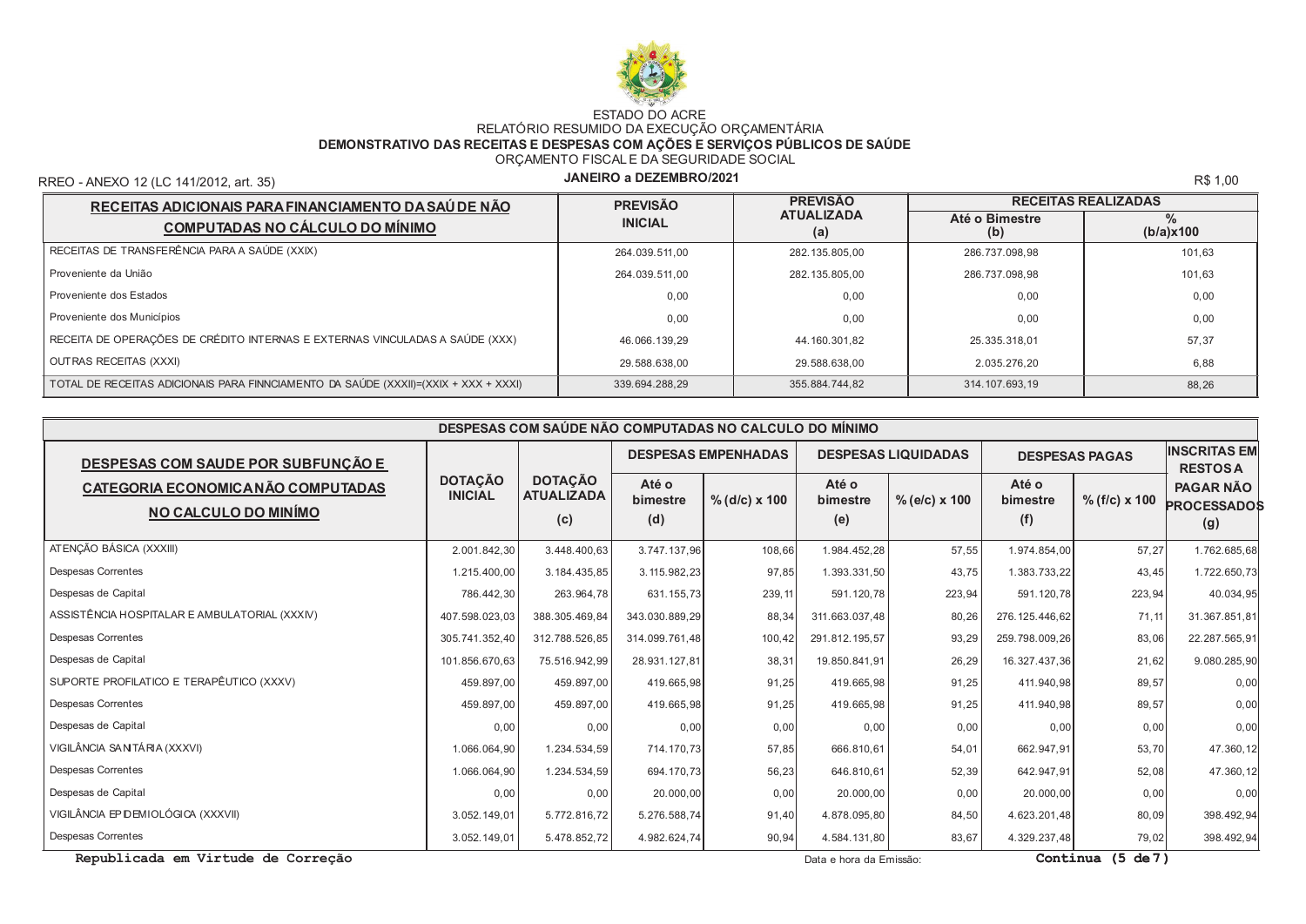

## ESTADO DO ACRE<br>RELATÓRIO RESUMIDO DA EXECUÇÃO ORÇAMENTÁRIA DEMONSTRATIVO DAS RECEITAS E DESPESAS COM AÇÕES E SERVIÇOS PÚBLICOS DE SAÚDE ORÇAMENTO FISCALE DA SEGURIDADE SOCIAL

RREO - ANEXO 12 (LC 141/2012, art. 35)

## JANEIRO a DEZEMBRO/2021

R\$ 1,00

| RECEITAS ADICIONAIS PARA FINANCIAMENTO DA SAÚ DE NÃO                                | <b>PREVISÃO</b> | <b>PREVISÃO</b>          | <b>RECEITAS REALIZADAS</b> |                   |  |  |
|-------------------------------------------------------------------------------------|-----------------|--------------------------|----------------------------|-------------------|--|--|
| <b>COMPUTADAS NO CÁLCULO DO MÍNIMO</b>                                              | <b>INICIAL</b>  | <b>ATUALIZADA</b><br>(a) | Até o Bimestre<br>(b)      | $\%$<br>(b/a)x100 |  |  |
| RECEITAS DE TRANSFERÊNCIA PARA A SAÚDE (XXIX)                                       | 264.039.511,00  | 282.135.805,00           | 286.737.098.98             | 101,63            |  |  |
| Proveniente da União                                                                | 264.039.511,00  | 282.135.805,00           | 286.737.098.98             | 101,63            |  |  |
| Proveniente dos Estados                                                             | 0.00            | 0.00                     | 0.00                       | 0.00              |  |  |
| Proveniente dos Municípios                                                          | 0.00            | 0.00                     | 0.00                       | 0,00              |  |  |
| RECEITA DE OPERAÇÕES DE CRÉDITO INTERNAS E EXTERNAS VINCULADAS A SAÚDE (XXX)        | 46.066.139,29   | 44.160.301,82            | 25.335.318,01              | 57,37             |  |  |
| OUTRAS RECEITAS (XXXI)                                                              | 29.588.638.00   | 29.588.638.00            | 2.035.276.20               | 6,88              |  |  |
| TOTAL DE RECEITAS ADICIONAIS PARA FINNCIAMENTO DA SAÚDE (XXXII)=(XXIX + XXX + XXXI) | 339.694.288.29  | 355.884.744,82           | 314.107.693.19             | 88,26             |  |  |

| DESPESAS COM SAÚDE NÃO COMPUTADAS NO CALCULO DO MÍNIMO     |                                  |                                            |                          |                            |                          |                            |                          |                       |                                               |
|------------------------------------------------------------|----------------------------------|--------------------------------------------|--------------------------|----------------------------|--------------------------|----------------------------|--------------------------|-----------------------|-----------------------------------------------|
| <b>DESPESAS COM SAUDE POR SUBFUNÇÃO E</b>                  |                                  |                                            |                          | <b>DESPESAS EMPENHADAS</b> |                          | <b>DESPESAS LIQUIDADAS</b> |                          | <b>DESPESAS PAGAS</b> | <b>INSCRITAS EM</b><br><b>RESTOSA</b>         |
| CATEGORIA ECONOMICA NÃO COMPUTADAS<br>NO CALCULO DO MINÍMO | <b>DOTAÇÃO</b><br><b>INICIAL</b> | <b>DOTAÇÃO</b><br><b>ATUALIZADA</b><br>(c) | Até o<br>bimestre<br>(d) | % (d/c) x 100              | Até o<br>bimestre<br>(e) | $%$ (e/c) x 100            | Até o<br>bimestre<br>(f) | $% (f/c) \times 100$  | <b>PAGAR NÃO</b><br><b>PROCESSADOS</b><br>(g) |
| ATENÇÃO BÁSICA (XXXIII)                                    | 2.001.842,30                     | 3.448.400,63                               | 3.747.137.96             | 108,66                     | 1.984.452.28             | 57,55                      | 1.974.854,00             | 57,27                 | 1.762.685,68                                  |
| <b>Despesas Correntes</b>                                  | 1.215.400,00                     | 3.184.435,85                               | 3.115.982,23             | 97,85                      | 1.393.331,50             | 43,75                      | 1.383.733,22             | 43,45                 | 1.722.650,73                                  |
| Despesas de Capital                                        | 786.442,30                       | 263.964,78                                 | 631.155,73               | 239, 11                    | 591.120,78               | 223,94                     | 591.120,78               | 223,94                | 40.034,95                                     |
| ASSISTÊNCIA HOSPITALAR E AMBULATORIAL (XXXIV)              | 407.598.023.03                   | 388.305.469.84                             | 343.030.889.29           | 88,34                      | 311.663.037.48           | 80,26                      | 276, 125, 446, 62        | 71, 11                | 31.367.851,81                                 |
| <b>Despesas Correntes</b>                                  | 305.741.352.40                   | 312.788.526,85                             | 314.099.761,48           | 100,42                     | 291.812.195,57           | 93,29                      | 259.798.009,26           | 83,06                 | 22.287.565,91                                 |
| Despesas de Capital                                        | 101.856.670,63                   | 75.516.942,99                              | 28.931.127,81            | 38,31                      | 19.850.841,91            | 26,29                      | 16.327.437,36            | 21,62                 | 9.080.285,90                                  |
| SUPORTE PROFILATICO E TERAPÊUTICO (XXXV)                   | 459.897,00                       | 459.897,00                                 | 419.665,98               | 91,25                      | 419.665,98               | 91,25                      | 411.940,98               | 89,57                 | 0,00                                          |
| <b>Despesas Correntes</b>                                  | 459.897,00                       | 459.897,00                                 | 419.665,98               | 91,25                      | 419.665,98               | 91,25                      | 411.940,98               | 89,57                 | 0,00                                          |
| Despesas de Capital                                        | 0,00                             | 0,00                                       | 0,00                     | 0,00                       | 0,00                     | 0,00                       | 0,00                     | 0,00                  | 0,00                                          |
| VIGILÂNCIA SANTÁRIA (XXXVI)                                | 1.066.064,90                     | 1.234.534,59                               | 714.170,73               | 57,85                      | 666.810,61               | 54,01                      | 662.947,91               | 53,70                 | 47.360,12                                     |
| <b>Despesas Correntes</b>                                  | 1.066.064,90                     | 1.234.534,59                               | 694.170,73               | 56,23                      | 646.810,61               | 52,39                      | 642.947,91               | 52,08                 | 47.360,12                                     |
| Despesas de Capital                                        | 0,00                             | 0,00                                       | 20.000,00                | 0,00                       | 20.000,00                | 0,00                       | 20.000,00                | 0,00                  | 0,00                                          |
| VIGILÂNCIA EP DEMIOLÓGICA (XXXVII)                         | 3.052.149.01                     | 5.772.816,72                               | 5.276.588,74             | 91,40                      | 4.878.095,80             | 84,50                      | 4.623.201,48             | 80,09                 | 398.492,94                                    |
| <b>Despesas Correntes</b>                                  | 3.052.149,01                     | 5.478.852,72                               | 4.982.624,74             | 90,94                      | 4.584.131,80             | 83,67                      | 4.329.237,48             | 79,02                 | 398.492,94                                    |

Republicada em Virtude de Correção

Data e hora da Emissão:

Continua (5 de 7)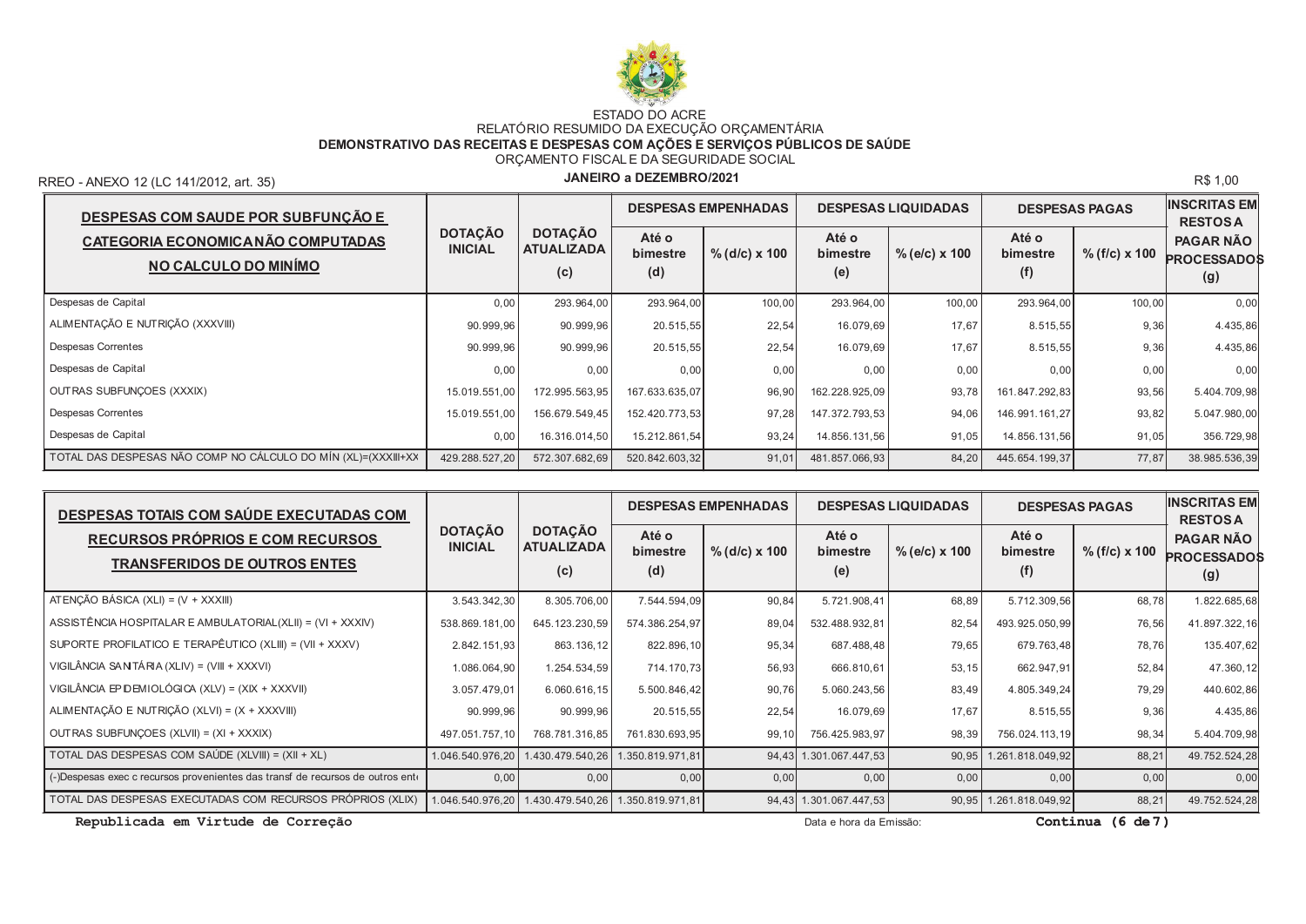

# ESTADO DO ACRE<br>RELATÓRIO RESUMIDO DA EXECUÇÃO ORÇAMENTÁRIA<br>DEMONSTRATIVO DAS RECEITAS E DESPESAS COM AÇÕES E SERVIÇOS PÚBLICOS DE SAÚDE ORÇAMENTO FISCALE DA SEGURIDADE SOCIAL

RREO - ANEXO 12 (LC 141/2012, art. 35)

### JANEIRO a DEZEMBRO/2021

R\$ 1,00

| DESPESAS COM SAUDE POR SUBFUNÇÃO E                            |                                  |                                            | <b>DESPESAS EMPENHADAS</b> |                 |                          | <b>DESPESAS LIQUIDADAS</b> | <b>DESPESAS PAGAS</b>    |                      | <b>INSCRITAS EM</b><br><b>RESTOSA</b>         |
|---------------------------------------------------------------|----------------------------------|--------------------------------------------|----------------------------|-----------------|--------------------------|----------------------------|--------------------------|----------------------|-----------------------------------------------|
| CATEGORIA ECONOMICA NÃO COMPUTADAS<br>NO CALCULO DO MINÍMO    | <b>DOTAÇÃO</b><br><b>INICIAL</b> | <b>DOTAÇÃO</b><br><b>ATUALIZADA</b><br>(c) | Até o<br>bimestre<br>(d)   | $%$ (d/c) x 100 | Até o<br>bimestre<br>(e) | $%$ (e/c) x 100            | Até o<br>bimestre<br>(f) | $% (f/c) \times 100$ | <b>PAGAR NÃO</b><br><b>PROCESSADOS</b><br>(g) |
| Despesas de Capital                                           | 0,00                             | 293.964,00                                 | 293.964,00                 | 100,00          | 293.964,00               | 100,00                     | 293.964,00               | 100,00               | 0,00                                          |
| ALIMENTAÇÃO E NUTRIÇÃO (XXXVIII)                              | 90.999.96                        | 90.999.96                                  | 20.515,55                  | 22,54           | 16.079,69                | 17,67                      | 8.515,55                 | 9,36                 | 4.435,86                                      |
| Despesas Correntes                                            | 90.999.96                        | 90.999.96                                  | 20.515,55                  | 22,54           | 16.079,69                | 17,67                      | 8.515,55                 | 9,36                 | 4.435,86                                      |
| Despesas de Capital                                           | 0,00                             | 0.00                                       | 0,00                       | 0,00            | 0.00                     | 0,00                       | 0,00                     | 0,00                 | 0,00                                          |
| OUTRAS SUBFUNÇOES (XXXIX)                                     | 15.019.551,00                    | 172.995.563,95                             | 167.633.635,07             | 96,90           | 162.228.925,09           | 93,78                      | 161.847.292,83           | 93,56                | 5.404.709,98                                  |
| Despesas Correntes                                            | 15.019.551.00                    | 156.679.549.45                             | 152.420.773.53             | 97,28           | 147.372.793.53           | 94,06                      | 146.991.161.27           | 93,82                | 5.047.980.00                                  |
| Despesas de Capital                                           | 0,00                             | 16.316.014,50                              | 15.212.861,54              | 93,24           | 14.856.131,56            | 91,05                      | 14.856.131,56            | 91,05                | 356.729,98                                    |
| TOTAL DAS DESPESAS NÃO COMP NO CÁLCULO DO MÍN (XL)=(XXXIII+XX | 429.288.527,20                   | 572.307.682,69                             | 520.842.603,32             | 91,01           | 481.857.066,93           | 84,20                      | 445.654.199,37           | 77,87                | 38.985.536,39                                 |

| DESPESAS TOTAIS COM SAÚDE EXECUTADAS COM                                       |                                  | <b>DESPESAS EMPENHADAS</b>                 |                          |                 |                          | <b>DESPESAS LIQUIDADAS</b> | <b>DESPESAS PAGAS</b>    |                 | <b>INSCRITAS EM</b><br><b>RESTOSA</b>         |
|--------------------------------------------------------------------------------|----------------------------------|--------------------------------------------|--------------------------|-----------------|--------------------------|----------------------------|--------------------------|-----------------|-----------------------------------------------|
| <b>RECURSOS PRÓPRIOS E COM RECURSOS</b><br><b>TRANSFERIDOS DE OUTROS ENTES</b> | <b>DOTAÇÃO</b><br><b>INICIAL</b> | <b>DOTAÇÃO</b><br><b>ATUALIZADA</b><br>(c) | Até o<br>bimestre<br>(d) | $%$ (d/c) x 100 | Até o<br>bimestre<br>(e) | $%$ (e/c) x 100            | Até o<br>bimestre<br>(f) | $%$ (f/c) x 100 | <b>PAGAR NÃO</b><br><b>PROCESSADOS</b><br>(g) |
| ATENÇÃO BÁSICA (XLI) = $(V + XXXIII)$                                          | 3.543.342,30                     | 8.305.706,00                               | 7.544.594,09             | 90,84           | 5.721.908,41             | 68,89                      | 5.712.309,56             | 68,78           | 1.822.685,68                                  |
| ASSISTÊNCIA HOSPITALAR E AMBULATORIAL(XLII) = (VI + XXXIV)                     | 538.869.181,00                   | 645.123.230,59                             | 574.386.254,97           | 89,04           | 532.488.932,81           | 82,54                      | 493.925.050,99           | 76,56           | 41.897.322,16                                 |
| SUPORTE PROFILATICO E TERAPÊUTICO (XLIII) = (VII + XXXV)                       | 2.842.151,93                     | 863.136,12                                 | 822.896,10               | 95,34           | 687.488,48               | 79,65                      | 679.763,48               | 78,76           | 135.407,62                                    |
| VIGILÂNCIA SANTÁRIA (XLIV) = (VIII + XXXVI)                                    | 1.086.064,90                     | 1.254.534,59                               | 714.170,73               | 56,93           | 666.810,61               | 53, 15                     | 662.947,91               | 52,84           | 47.360,12                                     |
| VIGILÂNCIA EP DEMIOLÓGICA (XLV) = (XIX + XXXVII)                               | 3.057.479,01                     | 6.060.616,15                               | 5.500.846,42             | 90,76           | 5.060.243,56             | 83,49                      | 4.805.349,24             | 79,29           | 440.602,86                                    |
| ALIMENTAÇÃO E NUTRIÇÃO (XLVI) = (X + XXXVIII)                                  | 90.999,96                        | 90.999.96                                  | 20.515,55                | 22,54           | 16.079,69                | 17,67                      | 8.515,55                 | 9,36            | 4.435,86                                      |
| OUTRAS SUBFUNÇOES (XLVII) = (XI + XXXIX)                                       | 497.051.757,10                   | 768.781.316,85                             | 761.830.693,95           | 99,10           | 756.425.983,97           | 98,39                      | 756.024.113,19           | 98,34           | 5.404.709,98                                  |
| TOTAL DAS DESPESAS COM SAÚDE (XLVIII) = (XII + XL)                             | 1.046.540.976,20                 | .430.479.540,26                            | 1.350.819.971,81         | 94,43           | 1.301.067.447,53         | 90,95                      | 1.261.818.049,92         | 88,21           | 49.752.524,28                                 |
| (-)Despesas exec c recursos provenientes das transf de recursos de outros ento | 0,00                             | 0.00                                       | 0,00                     | 0,00            | 0,00                     | 0,00                       | 0,00                     | 0,00            | 0,00                                          |
| TOTAL DAS DESPESAS EXECUTADAS COM RECURSOS PRÓPRIOS (XLIX)                     | 1.046.540.976,20                 | .430.479.540.26                            | .350.819.971,81          |                 | 94,43 1.301.067.447,53   | 90,95                      | 1.261.818.049,92         | 88,21           | 49.752.524,28                                 |

Republicada em Virtude de Correção

Data e hora da Emissão:

Continua  $(6 de 7)$